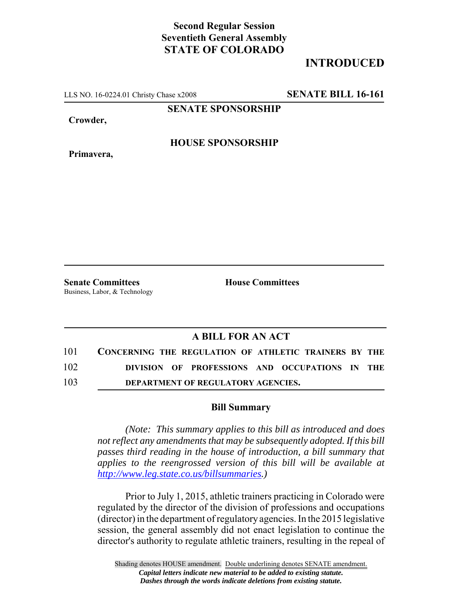## **Second Regular Session Seventieth General Assembly STATE OF COLORADO**

## **INTRODUCED**

LLS NO. 16-0224.01 Christy Chase x2008 **SENATE BILL 16-161**

**SENATE SPONSORSHIP**

**Crowder,**

**Primavera,**

**HOUSE SPONSORSHIP**

**Senate Committees House Committees** Business, Labor, & Technology

## **A BILL FOR AN ACT**

| 101 | CONCERNING THE REGULATION OF ATHLETIC TRAINERS BY THE |  |
|-----|-------------------------------------------------------|--|
| 102 | DIVISION OF PROFESSIONS AND OCCUPATIONS IN THE        |  |
| 103 | DEPARTMENT OF REGULATORY AGENCIES.                    |  |

## **Bill Summary**

*(Note: This summary applies to this bill as introduced and does not reflect any amendments that may be subsequently adopted. If this bill passes third reading in the house of introduction, a bill summary that applies to the reengrossed version of this bill will be available at http://www.leg.state.co.us/billsummaries.)*

Prior to July 1, 2015, athletic trainers practicing in Colorado were regulated by the director of the division of professions and occupations (director) in the department of regulatory agencies. In the 2015 legislative session, the general assembly did not enact legislation to continue the director's authority to regulate athletic trainers, resulting in the repeal of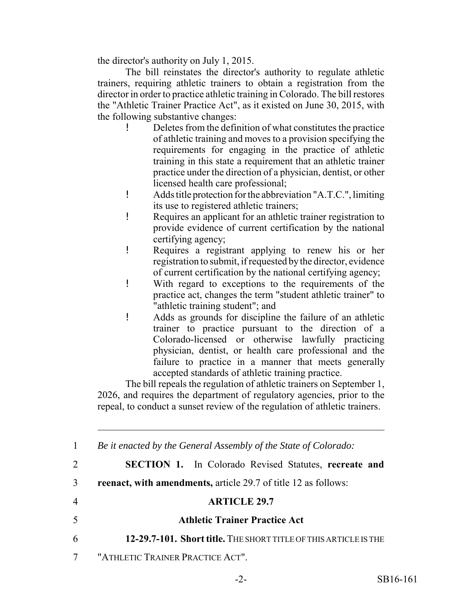the director's authority on July 1, 2015.

The bill reinstates the director's authority to regulate athletic trainers, requiring athletic trainers to obtain a registration from the director in order to practice athletic training in Colorado. The bill restores the "Athletic Trainer Practice Act", as it existed on June 30, 2015, with the following substantive changes:

- ! Deletes from the definition of what constitutes the practice of athletic training and moves to a provision specifying the requirements for engaging in the practice of athletic training in this state a requirement that an athletic trainer practice under the direction of a physician, dentist, or other licensed health care professional;
- ! Adds title protection for the abbreviation "A.T.C.", limiting its use to registered athletic trainers;
- ! Requires an applicant for an athletic trainer registration to provide evidence of current certification by the national certifying agency;
- ! Requires a registrant applying to renew his or her registration to submit, if requested by the director, evidence of current certification by the national certifying agency;
- ! With regard to exceptions to the requirements of the practice act, changes the term "student athletic trainer" to "athletic training student"; and
- ! Adds as grounds for discipline the failure of an athletic trainer to practice pursuant to the direction of a Colorado-licensed or otherwise lawfully practicing physician, dentist, or health care professional and the failure to practice in a manner that meets generally accepted standards of athletic training practice.

The bill repeals the regulation of athletic trainers on September 1, 2026, and requires the department of regulatory agencies, prior to the repeal, to conduct a sunset review of the regulation of athletic trainers.

 *Be it enacted by the General Assembly of the State of Colorado:* **SECTION 1.** In Colorado Revised Statutes, **recreate and reenact, with amendments,** article 29.7 of title 12 as follows: **ARTICLE 29.7 Athletic Trainer Practice Act 12-29.7-101. Short title.** THE SHORT TITLE OF THIS ARTICLE IS THE "ATHLETIC TRAINER PRACTICE ACT".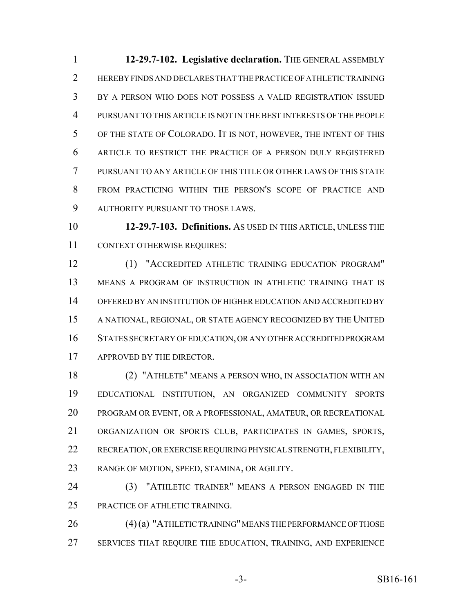**12-29.7-102. Legislative declaration.** THE GENERAL ASSEMBLY HEREBY FINDS AND DECLARES THAT THE PRACTICE OF ATHLETIC TRAINING BY A PERSON WHO DOES NOT POSSESS A VALID REGISTRATION ISSUED PURSUANT TO THIS ARTICLE IS NOT IN THE BEST INTERESTS OF THE PEOPLE OF THE STATE OF COLORADO. IT IS NOT, HOWEVER, THE INTENT OF THIS ARTICLE TO RESTRICT THE PRACTICE OF A PERSON DULY REGISTERED PURSUANT TO ANY ARTICLE OF THIS TITLE OR OTHER LAWS OF THIS STATE FROM PRACTICING WITHIN THE PERSON'S SCOPE OF PRACTICE AND AUTHORITY PURSUANT TO THOSE LAWS.

 **12-29.7-103. Definitions.** AS USED IN THIS ARTICLE, UNLESS THE CONTEXT OTHERWISE REQUIRES:

 (1) "ACCREDITED ATHLETIC TRAINING EDUCATION PROGRAM" MEANS A PROGRAM OF INSTRUCTION IN ATHLETIC TRAINING THAT IS OFFERED BY AN INSTITUTION OF HIGHER EDUCATION AND ACCREDITED BY A NATIONAL, REGIONAL, OR STATE AGENCY RECOGNIZED BY THE UNITED STATES SECRETARY OF EDUCATION, OR ANY OTHER ACCREDITED PROGRAM APPROVED BY THE DIRECTOR.

 (2) "ATHLETE" MEANS A PERSON WHO, IN ASSOCIATION WITH AN EDUCATIONAL INSTITUTION, AN ORGANIZED COMMUNITY SPORTS PROGRAM OR EVENT, OR A PROFESSIONAL, AMATEUR, OR RECREATIONAL ORGANIZATION OR SPORTS CLUB, PARTICIPATES IN GAMES, SPORTS, RECREATION, OR EXERCISE REQUIRING PHYSICAL STRENGTH, FLEXIBILITY, RANGE OF MOTION, SPEED, STAMINA, OR AGILITY.

 (3) "ATHLETIC TRAINER" MEANS A PERSON ENGAGED IN THE PRACTICE OF ATHLETIC TRAINING.

 (4) (a) "ATHLETIC TRAINING" MEANS THE PERFORMANCE OF THOSE SERVICES THAT REQUIRE THE EDUCATION, TRAINING, AND EXPERIENCE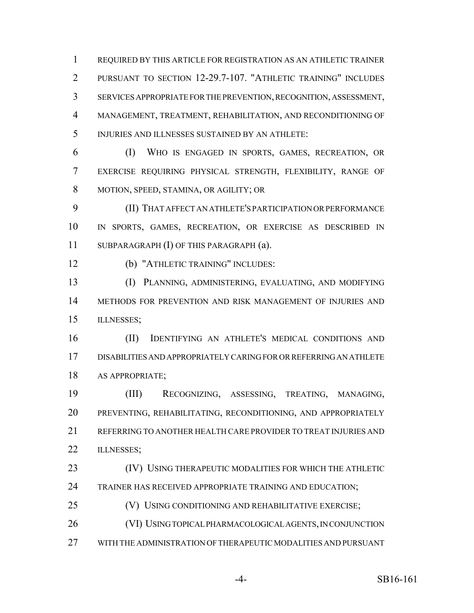REQUIRED BY THIS ARTICLE FOR REGISTRATION AS AN ATHLETIC TRAINER PURSUANT TO SECTION 12-29.7-107. "ATHLETIC TRAINING" INCLUDES SERVICES APPROPRIATE FOR THE PREVENTION, RECOGNITION, ASSESSMENT, MANAGEMENT, TREATMENT, REHABILITATION, AND RECONDITIONING OF INJURIES AND ILLNESSES SUSTAINED BY AN ATHLETE:

 (I) WHO IS ENGAGED IN SPORTS, GAMES, RECREATION, OR EXERCISE REQUIRING PHYSICAL STRENGTH, FLEXIBILITY, RANGE OF MOTION, SPEED, STAMINA, OR AGILITY; OR

 (II) THAT AFFECT AN ATHLETE'S PARTICIPATION OR PERFORMANCE IN SPORTS, GAMES, RECREATION, OR EXERCISE AS DESCRIBED IN SUBPARAGRAPH (I) OF THIS PARAGRAPH (a).

(b) "ATHLETIC TRAINING" INCLUDES:

 (I) PLANNING, ADMINISTERING, EVALUATING, AND MODIFYING METHODS FOR PREVENTION AND RISK MANAGEMENT OF INJURIES AND ILLNESSES;

 (II) IDENTIFYING AN ATHLETE'S MEDICAL CONDITIONS AND DISABILITIES AND APPROPRIATELY CARING FOR OR REFERRING AN ATHLETE AS APPROPRIATE;

 (III) RECOGNIZING, ASSESSING, TREATING, MANAGING, PREVENTING, REHABILITATING, RECONDITIONING, AND APPROPRIATELY REFERRING TO ANOTHER HEALTH CARE PROVIDER TO TREAT INJURIES AND 22 ILLNESSES;

 (IV) USING THERAPEUTIC MODALITIES FOR WHICH THE ATHLETIC TRAINER HAS RECEIVED APPROPRIATE TRAINING AND EDUCATION;

**(V) USING CONDITIONING AND REHABILITATIVE EXERCISE;** 

(VI) USING TOPICAL PHARMACOLOGICAL AGENTS, IN CONJUNCTION

WITH THE ADMINISTRATION OF THERAPEUTIC MODALITIES AND PURSUANT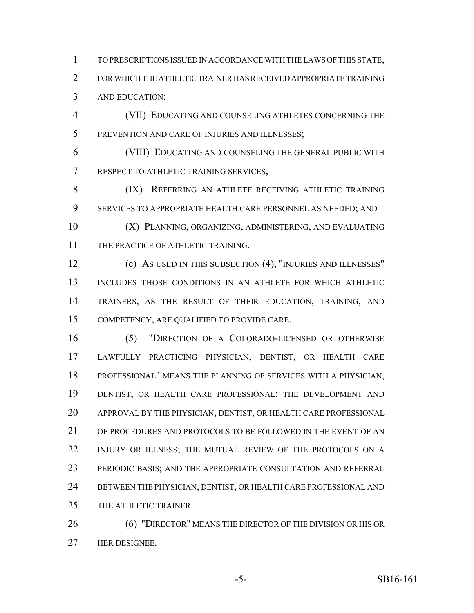TO PRESCRIPTIONS ISSUED IN ACCORDANCE WITH THE LAWS OF THIS STATE, FOR WHICH THE ATHLETIC TRAINER HAS RECEIVED APPROPRIATE TRAINING AND EDUCATION;

 (VII) EDUCATING AND COUNSELING ATHLETES CONCERNING THE PREVENTION AND CARE OF INJURIES AND ILLNESSES;

 (VIII) EDUCATING AND COUNSELING THE GENERAL PUBLIC WITH RESPECT TO ATHLETIC TRAINING SERVICES;

8 (IX) REFERRING AN ATHLETE RECEIVING ATHLETIC TRAINING SERVICES TO APPROPRIATE HEALTH CARE PERSONNEL AS NEEDED; AND

 (X) PLANNING, ORGANIZING, ADMINISTERING, AND EVALUATING 11 THE PRACTICE OF ATHLETIC TRAINING.

 (c) AS USED IN THIS SUBSECTION (4), "INJURIES AND ILLNESSES" INCLUDES THOSE CONDITIONS IN AN ATHLETE FOR WHICH ATHLETIC TRAINERS, AS THE RESULT OF THEIR EDUCATION, TRAINING, AND COMPETENCY, ARE QUALIFIED TO PROVIDE CARE.

 (5) "DIRECTION OF A COLORADO-LICENSED OR OTHERWISE LAWFULLY PRACTICING PHYSICIAN, DENTIST, OR HEALTH CARE PROFESSIONAL" MEANS THE PLANNING OF SERVICES WITH A PHYSICIAN, DENTIST, OR HEALTH CARE PROFESSIONAL; THE DEVELOPMENT AND APPROVAL BY THE PHYSICIAN, DENTIST, OR HEALTH CARE PROFESSIONAL OF PROCEDURES AND PROTOCOLS TO BE FOLLOWED IN THE EVENT OF AN INJURY OR ILLNESS; THE MUTUAL REVIEW OF THE PROTOCOLS ON A PERIODIC BASIS; AND THE APPROPRIATE CONSULTATION AND REFERRAL BETWEEN THE PHYSICIAN, DENTIST, OR HEALTH CARE PROFESSIONAL AND THE ATHLETIC TRAINER.

26 (6) "DIRECTOR" MEANS THE DIRECTOR OF THE DIVISION OR HIS OR HER DESIGNEE.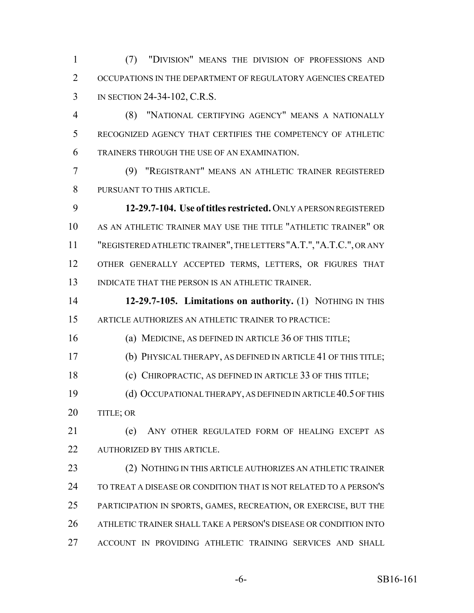(7) "DIVISION" MEANS THE DIVISION OF PROFESSIONS AND OCCUPATIONS IN THE DEPARTMENT OF REGULATORY AGENCIES CREATED IN SECTION 24-34-102, C.R.S.

 (8) "NATIONAL CERTIFYING AGENCY" MEANS A NATIONALLY RECOGNIZED AGENCY THAT CERTIFIES THE COMPETENCY OF ATHLETIC TRAINERS THROUGH THE USE OF AN EXAMINATION.

 (9) "REGISTRANT" MEANS AN ATHLETIC TRAINER REGISTERED PURSUANT TO THIS ARTICLE.

 **12-29.7-104. Use of titles restricted.** ONLY A PERSON REGISTERED AS AN ATHLETIC TRAINER MAY USE THE TITLE "ATHLETIC TRAINER" OR "REGISTERED ATHLETIC TRAINER", THE LETTERS "A.T.", "A.T.C.", OR ANY OTHER GENERALLY ACCEPTED TERMS, LETTERS, OR FIGURES THAT INDICATE THAT THE PERSON IS AN ATHLETIC TRAINER.

 **12-29.7-105. Limitations on authority.** (1) NOTHING IN THIS ARTICLE AUTHORIZES AN ATHLETIC TRAINER TO PRACTICE:

(a) MEDICINE, AS DEFINED IN ARTICLE 36 OF THIS TITLE;

(b) PHYSICAL THERAPY, AS DEFINED IN ARTICLE 41 OF THIS TITLE;

(c) CHIROPRACTIC, AS DEFINED IN ARTICLE 33 OF THIS TITLE;

 (d) OCCUPATIONAL THERAPY, AS DEFINED IN ARTICLE 40.5 OF THIS 20 TITLE; OR

 (e) ANY OTHER REGULATED FORM OF HEALING EXCEPT AS 22 AUTHORIZED BY THIS ARTICLE.

 (2) NOTHING IN THIS ARTICLE AUTHORIZES AN ATHLETIC TRAINER TO TREAT A DISEASE OR CONDITION THAT IS NOT RELATED TO A PERSON'S PARTICIPATION IN SPORTS, GAMES, RECREATION, OR EXERCISE, BUT THE ATHLETIC TRAINER SHALL TAKE A PERSON'S DISEASE OR CONDITION INTO ACCOUNT IN PROVIDING ATHLETIC TRAINING SERVICES AND SHALL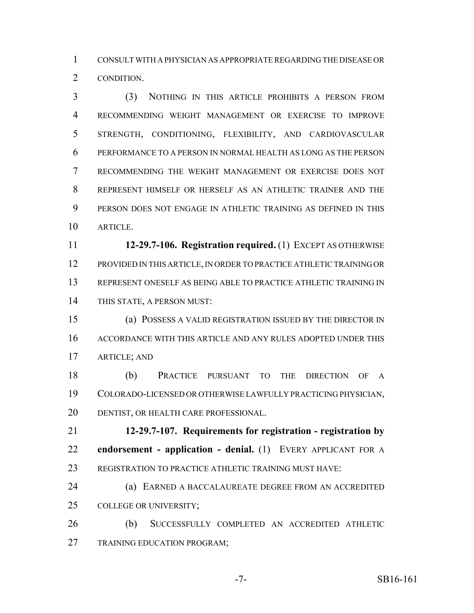CONSULT WITH A PHYSICIAN AS APPROPRIATE REGARDING THE DISEASE OR CONDITION.

 (3) NOTHING IN THIS ARTICLE PROHIBITS A PERSON FROM RECOMMENDING WEIGHT MANAGEMENT OR EXERCISE TO IMPROVE STRENGTH, CONDITIONING, FLEXIBILITY, AND CARDIOVASCULAR PERFORMANCE TO A PERSON IN NORMAL HEALTH AS LONG AS THE PERSON RECOMMENDING THE WEIGHT MANAGEMENT OR EXERCISE DOES NOT REPRESENT HIMSELF OR HERSELF AS AN ATHLETIC TRAINER AND THE PERSON DOES NOT ENGAGE IN ATHLETIC TRAINING AS DEFINED IN THIS ARTICLE.

 **12-29.7-106. Registration required.** (1) EXCEPT AS OTHERWISE PROVIDED IN THIS ARTICLE, IN ORDER TO PRACTICE ATHLETIC TRAINING OR REPRESENT ONESELF AS BEING ABLE TO PRACTICE ATHLETIC TRAINING IN THIS STATE, A PERSON MUST:

 (a) POSSESS A VALID REGISTRATION ISSUED BY THE DIRECTOR IN ACCORDANCE WITH THIS ARTICLE AND ANY RULES ADOPTED UNDER THIS ARTICLE; AND

 (b) PRACTICE PURSUANT TO THE DIRECTION OF A COLORADO-LICENSED OR OTHERWISE LAWFULLY PRACTICING PHYSICIAN, DENTIST, OR HEALTH CARE PROFESSIONAL.

 **12-29.7-107. Requirements for registration - registration by endorsement - application - denial.** (1) EVERY APPLICANT FOR A 23 REGISTRATION TO PRACTICE ATHLETIC TRAINING MUST HAVE:

 (a) EARNED A BACCALAUREATE DEGREE FROM AN ACCREDITED COLLEGE OR UNIVERSITY;

 (b) SUCCESSFULLY COMPLETED AN ACCREDITED ATHLETIC TRAINING EDUCATION PROGRAM;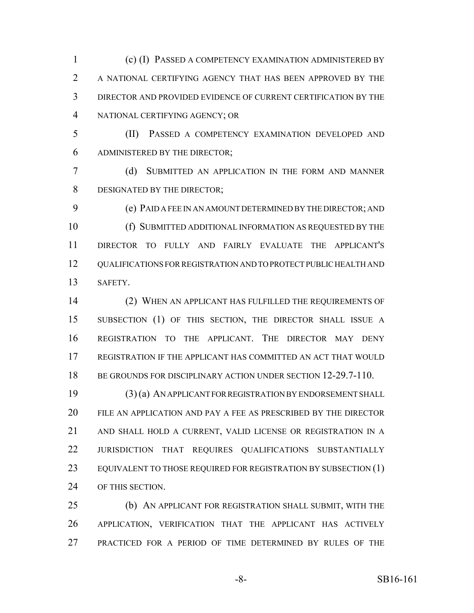(c) (I) PASSED A COMPETENCY EXAMINATION ADMINISTERED BY A NATIONAL CERTIFYING AGENCY THAT HAS BEEN APPROVED BY THE DIRECTOR AND PROVIDED EVIDENCE OF CURRENT CERTIFICATION BY THE NATIONAL CERTIFYING AGENCY; OR

 (II) PASSED A COMPETENCY EXAMINATION DEVELOPED AND ADMINISTERED BY THE DIRECTOR;

 (d) SUBMITTED AN APPLICATION IN THE FORM AND MANNER DESIGNATED BY THE DIRECTOR;

 (e) PAID A FEE IN AN AMOUNT DETERMINED BY THE DIRECTOR; AND (f) SUBMITTED ADDITIONAL INFORMATION AS REQUESTED BY THE DIRECTOR TO FULLY AND FAIRLY EVALUATE THE APPLICANT'S QUALIFICATIONS FOR REGISTRATION AND TO PROTECT PUBLIC HEALTH AND SAFETY.

 (2) WHEN AN APPLICANT HAS FULFILLED THE REQUIREMENTS OF SUBSECTION (1) OF THIS SECTION, THE DIRECTOR SHALL ISSUE A REGISTRATION TO THE APPLICANT. THE DIRECTOR MAY DENY REGISTRATION IF THE APPLICANT HAS COMMITTED AN ACT THAT WOULD 18 BE GROUNDS FOR DISCIPLINARY ACTION UNDER SECTION 12-29.7-110.

 (3) (a) AN APPLICANT FOR REGISTRATION BY ENDORSEMENT SHALL FILE AN APPLICATION AND PAY A FEE AS PRESCRIBED BY THE DIRECTOR AND SHALL HOLD A CURRENT, VALID LICENSE OR REGISTRATION IN A JURISDICTION THAT REQUIRES QUALIFICATIONS SUBSTANTIALLY 23 EQUIVALENT TO THOSE REQUIRED FOR REGISTRATION BY SUBSECTION (1) OF THIS SECTION.

 (b) AN APPLICANT FOR REGISTRATION SHALL SUBMIT, WITH THE APPLICATION, VERIFICATION THAT THE APPLICANT HAS ACTIVELY PRACTICED FOR A PERIOD OF TIME DETERMINED BY RULES OF THE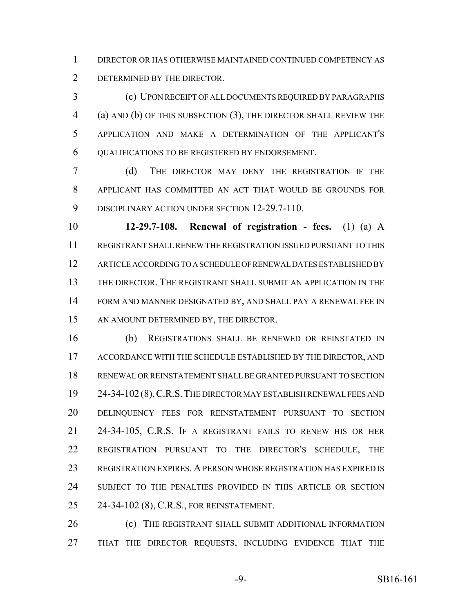DIRECTOR OR HAS OTHERWISE MAINTAINED CONTINUED COMPETENCY AS DETERMINED BY THE DIRECTOR.

 (c) UPON RECEIPT OF ALL DOCUMENTS REQUIRED BY PARAGRAPHS (a) AND (b) OF THIS SUBSECTION (3), THE DIRECTOR SHALL REVIEW THE APPLICATION AND MAKE A DETERMINATION OF THE APPLICANT'S QUALIFICATIONS TO BE REGISTERED BY ENDORSEMENT.

 (d) THE DIRECTOR MAY DENY THE REGISTRATION IF THE APPLICANT HAS COMMITTED AN ACT THAT WOULD BE GROUNDS FOR 9 DISCIPLINARY ACTION UNDER SECTION 12-29.7-110.

 **12-29.7-108. Renewal of registration - fees.** (1) (a) A REGISTRANT SHALL RENEW THE REGISTRATION ISSUED PURSUANT TO THIS ARTICLE ACCORDING TO A SCHEDULE OF RENEWAL DATES ESTABLISHED BY THE DIRECTOR. THE REGISTRANT SHALL SUBMIT AN APPLICATION IN THE FORM AND MANNER DESIGNATED BY, AND SHALL PAY A RENEWAL FEE IN 15 AN AMOUNT DETERMINED BY, THE DIRECTOR.

 (b) REGISTRATIONS SHALL BE RENEWED OR REINSTATED IN ACCORDANCE WITH THE SCHEDULE ESTABLISHED BY THE DIRECTOR, AND RENEWAL OR REINSTATEMENT SHALL BE GRANTED PURSUANT TO SECTION 24-34-102 (8),C.R.S.THE DIRECTOR MAY ESTABLISH RENEWAL FEES AND DELINQUENCY FEES FOR REINSTATEMENT PURSUANT TO SECTION 24-34-105, C.R.S. IF A REGISTRANT FAILS TO RENEW HIS OR HER REGISTRATION PURSUANT TO THE DIRECTOR'S SCHEDULE, THE REGISTRATION EXPIRES. A PERSON WHOSE REGISTRATION HAS EXPIRED IS SUBJECT TO THE PENALTIES PROVIDED IN THIS ARTICLE OR SECTION 24-34-102 (8), C.R.S., FOR REINSTATEMENT.

 (c) THE REGISTRANT SHALL SUBMIT ADDITIONAL INFORMATION THAT THE DIRECTOR REQUESTS, INCLUDING EVIDENCE THAT THE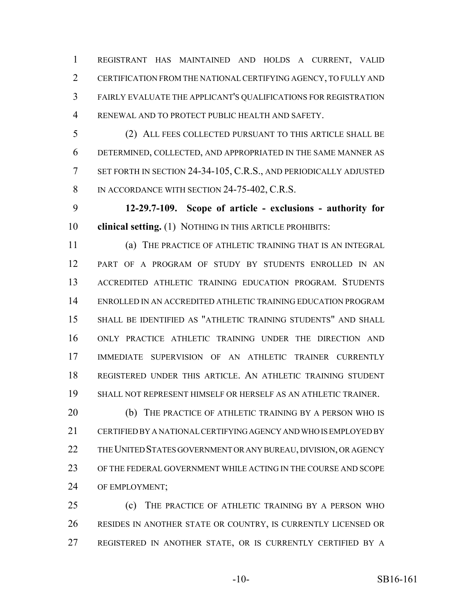REGISTRANT HAS MAINTAINED AND HOLDS A CURRENT, VALID CERTIFICATION FROM THE NATIONAL CERTIFYING AGENCY, TO FULLY AND FAIRLY EVALUATE THE APPLICANT'S QUALIFICATIONS FOR REGISTRATION RENEWAL AND TO PROTECT PUBLIC HEALTH AND SAFETY.

 (2) ALL FEES COLLECTED PURSUANT TO THIS ARTICLE SHALL BE DETERMINED, COLLECTED, AND APPROPRIATED IN THE SAME MANNER AS SET FORTH IN SECTION 24-34-105, C.R.S., AND PERIODICALLY ADJUSTED 8 IN ACCORDANCE WITH SECTION 24-75-402, C.R.S.

 **12-29.7-109. Scope of article - exclusions - authority for clinical setting.** (1) NOTHING IN THIS ARTICLE PROHIBITS:

 (a) THE PRACTICE OF ATHLETIC TRAINING THAT IS AN INTEGRAL PART OF A PROGRAM OF STUDY BY STUDENTS ENROLLED IN AN ACCREDITED ATHLETIC TRAINING EDUCATION PROGRAM. STUDENTS ENROLLED IN AN ACCREDITED ATHLETIC TRAINING EDUCATION PROGRAM SHALL BE IDENTIFIED AS "ATHLETIC TRAINING STUDENTS" AND SHALL ONLY PRACTICE ATHLETIC TRAINING UNDER THE DIRECTION AND IMMEDIATE SUPERVISION OF AN ATHLETIC TRAINER CURRENTLY REGISTERED UNDER THIS ARTICLE. AN ATHLETIC TRAINING STUDENT SHALL NOT REPRESENT HIMSELF OR HERSELF AS AN ATHLETIC TRAINER.

 (b) THE PRACTICE OF ATHLETIC TRAINING BY A PERSON WHO IS CERTIFIED BY A NATIONAL CERTIFYING AGENCY AND WHO IS EMPLOYED BY THE UNITED STATES GOVERNMENT OR ANY BUREAU, DIVISION, OR AGENCY OF THE FEDERAL GOVERNMENT WHILE ACTING IN THE COURSE AND SCOPE OF EMPLOYMENT;

 (c) THE PRACTICE OF ATHLETIC TRAINING BY A PERSON WHO RESIDES IN ANOTHER STATE OR COUNTRY, IS CURRENTLY LICENSED OR REGISTERED IN ANOTHER STATE, OR IS CURRENTLY CERTIFIED BY A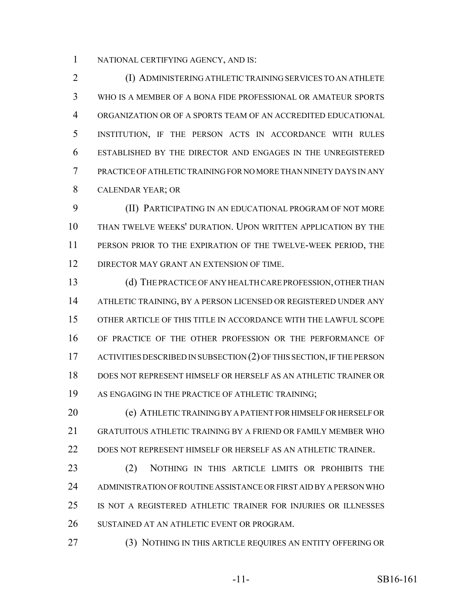NATIONAL CERTIFYING AGENCY, AND IS:

 (I) ADMINISTERING ATHLETIC TRAINING SERVICES TO AN ATHLETE WHO IS A MEMBER OF A BONA FIDE PROFESSIONAL OR AMATEUR SPORTS ORGANIZATION OR OF A SPORTS TEAM OF AN ACCREDITED EDUCATIONAL INSTITUTION, IF THE PERSON ACTS IN ACCORDANCE WITH RULES ESTABLISHED BY THE DIRECTOR AND ENGAGES IN THE UNREGISTERED PRACTICE OF ATHLETIC TRAINING FOR NO MORE THAN NINETY DAYS IN ANY CALENDAR YEAR; OR

 (II) PARTICIPATING IN AN EDUCATIONAL PROGRAM OF NOT MORE THAN TWELVE WEEKS' DURATION. UPON WRITTEN APPLICATION BY THE PERSON PRIOR TO THE EXPIRATION OF THE TWELVE-WEEK PERIOD, THE 12 DIRECTOR MAY GRANT AN EXTENSION OF TIME.

 (d) THE PRACTICE OF ANY HEALTH CARE PROFESSION, OTHER THAN ATHLETIC TRAINING, BY A PERSON LICENSED OR REGISTERED UNDER ANY OTHER ARTICLE OF THIS TITLE IN ACCORDANCE WITH THE LAWFUL SCOPE OF PRACTICE OF THE OTHER PROFESSION OR THE PERFORMANCE OF 17 ACTIVITIES DESCRIBED IN SUBSECTION (2) OF THIS SECTION, IF THE PERSON DOES NOT REPRESENT HIMSELF OR HERSELF AS AN ATHLETIC TRAINER OR AS ENGAGING IN THE PRACTICE OF ATHLETIC TRAINING;

 (e) ATHLETIC TRAINING BY A PATIENT FOR HIMSELF OR HERSELF OR GRATUITOUS ATHLETIC TRAINING BY A FRIEND OR FAMILY MEMBER WHO DOES NOT REPRESENT HIMSELF OR HERSELF AS AN ATHLETIC TRAINER.

23 (2) NOTHING IN THIS ARTICLE LIMITS OR PROHIBITS THE ADMINISTRATION OF ROUTINE ASSISTANCE OR FIRST AID BY A PERSON WHO IS NOT A REGISTERED ATHLETIC TRAINER FOR INJURIES OR ILLNESSES SUSTAINED AT AN ATHLETIC EVENT OR PROGRAM.

(3) NOTHING IN THIS ARTICLE REQUIRES AN ENTITY OFFERING OR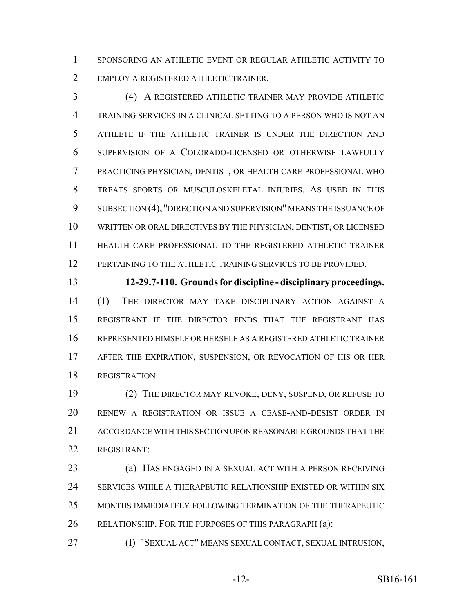SPONSORING AN ATHLETIC EVENT OR REGULAR ATHLETIC ACTIVITY TO EMPLOY A REGISTERED ATHLETIC TRAINER.

 (4) A REGISTERED ATHLETIC TRAINER MAY PROVIDE ATHLETIC TRAINING SERVICES IN A CLINICAL SETTING TO A PERSON WHO IS NOT AN ATHLETE IF THE ATHLETIC TRAINER IS UNDER THE DIRECTION AND SUPERVISION OF A COLORADO-LICENSED OR OTHERWISE LAWFULLY PRACTICING PHYSICIAN, DENTIST, OR HEALTH CARE PROFESSIONAL WHO TREATS SPORTS OR MUSCULOSKELETAL INJURIES. AS USED IN THIS SUBSECTION (4), "DIRECTION AND SUPERVISION" MEANS THE ISSUANCE OF WRITTEN OR ORAL DIRECTIVES BY THE PHYSICIAN, DENTIST, OR LICENSED HEALTH CARE PROFESSIONAL TO THE REGISTERED ATHLETIC TRAINER PERTAINING TO THE ATHLETIC TRAINING SERVICES TO BE PROVIDED.

 **12-29.7-110. Grounds for discipline - disciplinary proceedings.** (1) THE DIRECTOR MAY TAKE DISCIPLINARY ACTION AGAINST A REGISTRANT IF THE DIRECTOR FINDS THAT THE REGISTRANT HAS REPRESENTED HIMSELF OR HERSELF AS A REGISTERED ATHLETIC TRAINER AFTER THE EXPIRATION, SUSPENSION, OR REVOCATION OF HIS OR HER REGISTRATION.

 (2) THE DIRECTOR MAY REVOKE, DENY, SUSPEND, OR REFUSE TO RENEW A REGISTRATION OR ISSUE A CEASE-AND-DESIST ORDER IN ACCORDANCE WITH THIS SECTION UPON REASONABLE GROUNDS THAT THE REGISTRANT:

 (a) HAS ENGAGED IN A SEXUAL ACT WITH A PERSON RECEIVING SERVICES WHILE A THERAPEUTIC RELATIONSHIP EXISTED OR WITHIN SIX MONTHS IMMEDIATELY FOLLOWING TERMINATION OF THE THERAPEUTIC RELATIONSHIP. FOR THE PURPOSES OF THIS PARAGRAPH (a):

(I) "SEXUAL ACT" MEANS SEXUAL CONTACT, SEXUAL INTRUSION,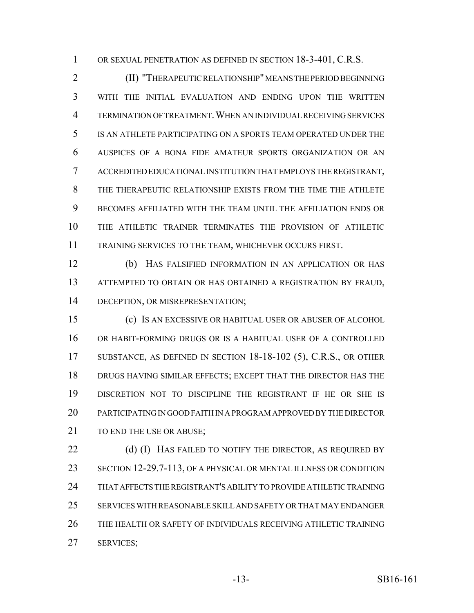OR SEXUAL PENETRATION AS DEFINED IN SECTION 18-3-401, C.R.S.

 (II) "THERAPEUTIC RELATIONSHIP" MEANS THE PERIOD BEGINNING WITH THE INITIAL EVALUATION AND ENDING UPON THE WRITTEN TERMINATION OF TREATMENT.WHEN AN INDIVIDUAL RECEIVING SERVICES IS AN ATHLETE PARTICIPATING ON A SPORTS TEAM OPERATED UNDER THE AUSPICES OF A BONA FIDE AMATEUR SPORTS ORGANIZATION OR AN ACCREDITED EDUCATIONAL INSTITUTION THAT EMPLOYS THE REGISTRANT, THE THERAPEUTIC RELATIONSHIP EXISTS FROM THE TIME THE ATHLETE BECOMES AFFILIATED WITH THE TEAM UNTIL THE AFFILIATION ENDS OR THE ATHLETIC TRAINER TERMINATES THE PROVISION OF ATHLETIC TRAINING SERVICES TO THE TEAM, WHICHEVER OCCURS FIRST.

 (b) HAS FALSIFIED INFORMATION IN AN APPLICATION OR HAS ATTEMPTED TO OBTAIN OR HAS OBTAINED A REGISTRATION BY FRAUD, DECEPTION, OR MISREPRESENTATION;

 (c) IS AN EXCESSIVE OR HABITUAL USER OR ABUSER OF ALCOHOL OR HABIT-FORMING DRUGS OR IS A HABITUAL USER OF A CONTROLLED SUBSTANCE, AS DEFINED IN SECTION 18-18-102 (5), C.R.S., OR OTHER DRUGS HAVING SIMILAR EFFECTS; EXCEPT THAT THE DIRECTOR HAS THE DISCRETION NOT TO DISCIPLINE THE REGISTRANT IF HE OR SHE IS PARTICIPATING IN GOOD FAITH IN A PROGRAM APPROVED BY THE DIRECTOR 21 TO END THE USE OR ABUSE:

22 (d) (I) HAS FAILED TO NOTIFY THE DIRECTOR, AS REQUIRED BY SECTION 12-29.7-113, OF A PHYSICAL OR MENTAL ILLNESS OR CONDITION THAT AFFECTS THE REGISTRANT'S ABILITY TO PROVIDE ATHLETIC TRAINING SERVICES WITH REASONABLE SKILL AND SAFETY OR THAT MAY ENDANGER THE HEALTH OR SAFETY OF INDIVIDUALS RECEIVING ATHLETIC TRAINING SERVICES;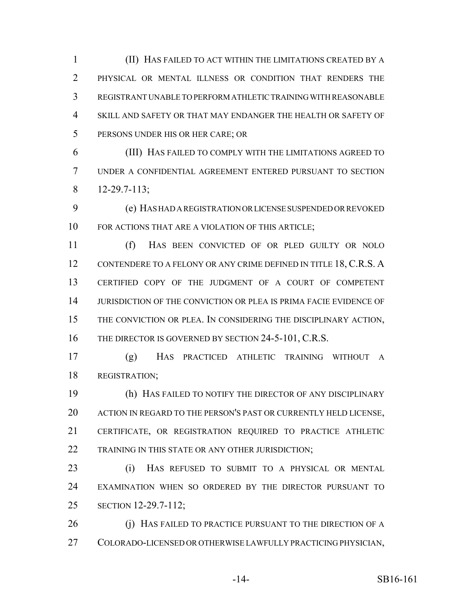(II) HAS FAILED TO ACT WITHIN THE LIMITATIONS CREATED BY A PHYSICAL OR MENTAL ILLNESS OR CONDITION THAT RENDERS THE REGISTRANT UNABLE TO PERFORM ATHLETIC TRAINING WITH REASONABLE SKILL AND SAFETY OR THAT MAY ENDANGER THE HEALTH OR SAFETY OF PERSONS UNDER HIS OR HER CARE; OR

 (III) HAS FAILED TO COMPLY WITH THE LIMITATIONS AGREED TO UNDER A CONFIDENTIAL AGREEMENT ENTERED PURSUANT TO SECTION 12-29.7-113;

 (e) HAS HAD A REGISTRATION OR LICENSE SUSPENDED OR REVOKED FOR ACTIONS THAT ARE A VIOLATION OF THIS ARTICLE;

 (f) HAS BEEN CONVICTED OF OR PLED GUILTY OR NOLO 12 CONTENDERE TO A FELONY OR ANY CRIME DEFINED IN TITLE 18, C.R.S. A CERTIFIED COPY OF THE JUDGMENT OF A COURT OF COMPETENT JURISDICTION OF THE CONVICTION OR PLEA IS PRIMA FACIE EVIDENCE OF THE CONVICTION OR PLEA. IN CONSIDERING THE DISCIPLINARY ACTION, 16 THE DIRECTOR IS GOVERNED BY SECTION 24-5-101, C.R.S.

 (g) HAS PRACTICED ATHLETIC TRAINING WITHOUT A REGISTRATION;

 (h) HAS FAILED TO NOTIFY THE DIRECTOR OF ANY DISCIPLINARY 20 ACTION IN REGARD TO THE PERSON'S PAST OR CURRENTLY HELD LICENSE, CERTIFICATE, OR REGISTRATION REQUIRED TO PRACTICE ATHLETIC 22 TRAINING IN THIS STATE OR ANY OTHER JURISDICTION;

 (i) HAS REFUSED TO SUBMIT TO A PHYSICAL OR MENTAL EXAMINATION WHEN SO ORDERED BY THE DIRECTOR PURSUANT TO SECTION 12-29.7-112;

26 (i) HAS FAILED TO PRACTICE PURSUANT TO THE DIRECTION OF A COLORADO-LICENSED OR OTHERWISE LAWFULLY PRACTICING PHYSICIAN,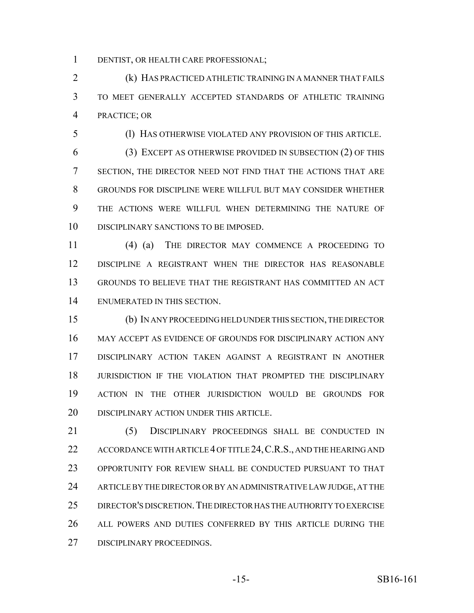DENTIST, OR HEALTH CARE PROFESSIONAL;

 (k) HAS PRACTICED ATHLETIC TRAINING IN A MANNER THAT FAILS TO MEET GENERALLY ACCEPTED STANDARDS OF ATHLETIC TRAINING PRACTICE; OR

(l) HAS OTHERWISE VIOLATED ANY PROVISION OF THIS ARTICLE.

 (3) EXCEPT AS OTHERWISE PROVIDED IN SUBSECTION (2) OF THIS SECTION, THE DIRECTOR NEED NOT FIND THAT THE ACTIONS THAT ARE GROUNDS FOR DISCIPLINE WERE WILLFUL BUT MAY CONSIDER WHETHER THE ACTIONS WERE WILLFUL WHEN DETERMINING THE NATURE OF DISCIPLINARY SANCTIONS TO BE IMPOSED.

 (4) (a) THE DIRECTOR MAY COMMENCE A PROCEEDING TO DISCIPLINE A REGISTRANT WHEN THE DIRECTOR HAS REASONABLE GROUNDS TO BELIEVE THAT THE REGISTRANT HAS COMMITTED AN ACT ENUMERATED IN THIS SECTION.

 (b) IN ANY PROCEEDING HELD UNDER THIS SECTION, THE DIRECTOR MAY ACCEPT AS EVIDENCE OF GROUNDS FOR DISCIPLINARY ACTION ANY DISCIPLINARY ACTION TAKEN AGAINST A REGISTRANT IN ANOTHER JURISDICTION IF THE VIOLATION THAT PROMPTED THE DISCIPLINARY ACTION IN THE OTHER JURISDICTION WOULD BE GROUNDS FOR DISCIPLINARY ACTION UNDER THIS ARTICLE.

 (5) DISCIPLINARY PROCEEDINGS SHALL BE CONDUCTED IN 22 ACCORDANCE WITH ARTICLE 4 OF TITLE 24, C.R.S., AND THE HEARING AND OPPORTUNITY FOR REVIEW SHALL BE CONDUCTED PURSUANT TO THAT ARTICLE BY THE DIRECTOR OR BY AN ADMINISTRATIVE LAW JUDGE, AT THE DIRECTOR'S DISCRETION.THE DIRECTOR HAS THE AUTHORITY TO EXERCISE ALL POWERS AND DUTIES CONFERRED BY THIS ARTICLE DURING THE DISCIPLINARY PROCEEDINGS.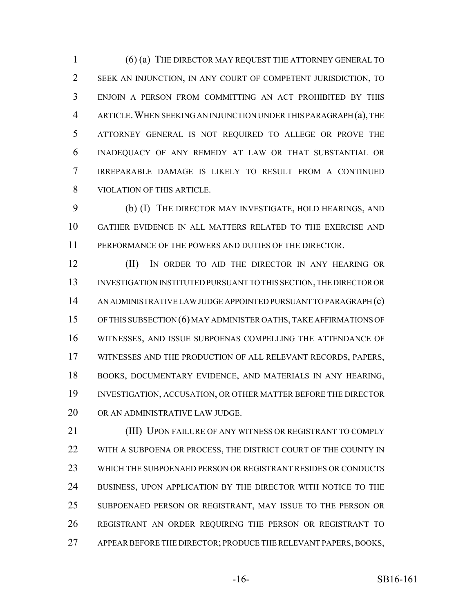(6) (a) THE DIRECTOR MAY REQUEST THE ATTORNEY GENERAL TO SEEK AN INJUNCTION, IN ANY COURT OF COMPETENT JURISDICTION, TO ENJOIN A PERSON FROM COMMITTING AN ACT PROHIBITED BY THIS ARTICLE.WHEN SEEKING AN INJUNCTION UNDER THIS PARAGRAPH (a), THE ATTORNEY GENERAL IS NOT REQUIRED TO ALLEGE OR PROVE THE INADEQUACY OF ANY REMEDY AT LAW OR THAT SUBSTANTIAL OR IRREPARABLE DAMAGE IS LIKELY TO RESULT FROM A CONTINUED VIOLATION OF THIS ARTICLE.

 (b) (I) THE DIRECTOR MAY INVESTIGATE, HOLD HEARINGS, AND GATHER EVIDENCE IN ALL MATTERS RELATED TO THE EXERCISE AND PERFORMANCE OF THE POWERS AND DUTIES OF THE DIRECTOR.

**(II)** IN ORDER TO AID THE DIRECTOR IN ANY HEARING OR INVESTIGATION INSTITUTED PURSUANT TO THIS SECTION, THE DIRECTOR OR AN ADMINISTRATIVE LAW JUDGE APPOINTED PURSUANT TO PARAGRAPH (c) OF THIS SUBSECTION (6) MAY ADMINISTER OATHS, TAKE AFFIRMATIONS OF WITNESSES, AND ISSUE SUBPOENAS COMPELLING THE ATTENDANCE OF WITNESSES AND THE PRODUCTION OF ALL RELEVANT RECORDS, PAPERS, BOOKS, DOCUMENTARY EVIDENCE, AND MATERIALS IN ANY HEARING, INVESTIGATION, ACCUSATION, OR OTHER MATTER BEFORE THE DIRECTOR OR AN ADMINISTRATIVE LAW JUDGE.

 (III) UPON FAILURE OF ANY WITNESS OR REGISTRANT TO COMPLY 22 WITH A SUBPOENA OR PROCESS, THE DISTRICT COURT OF THE COUNTY IN WHICH THE SUBPOENAED PERSON OR REGISTRANT RESIDES OR CONDUCTS BUSINESS, UPON APPLICATION BY THE DIRECTOR WITH NOTICE TO THE SUBPOENAED PERSON OR REGISTRANT, MAY ISSUE TO THE PERSON OR REGISTRANT AN ORDER REQUIRING THE PERSON OR REGISTRANT TO APPEAR BEFORE THE DIRECTOR; PRODUCE THE RELEVANT PAPERS, BOOKS,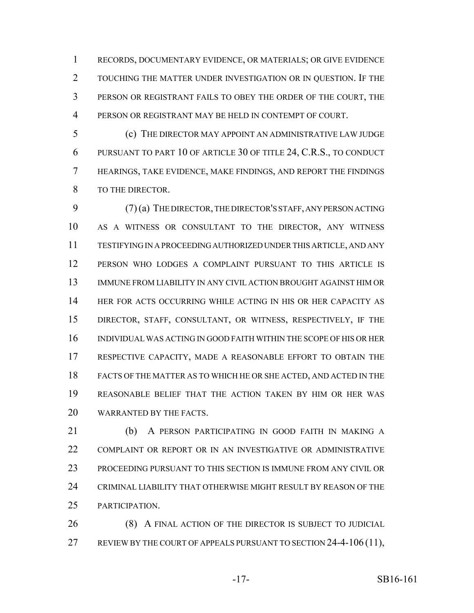RECORDS, DOCUMENTARY EVIDENCE, OR MATERIALS; OR GIVE EVIDENCE TOUCHING THE MATTER UNDER INVESTIGATION OR IN QUESTION. IF THE PERSON OR REGISTRANT FAILS TO OBEY THE ORDER OF THE COURT, THE PERSON OR REGISTRANT MAY BE HELD IN CONTEMPT OF COURT.

 (c) THE DIRECTOR MAY APPOINT AN ADMINISTRATIVE LAW JUDGE PURSUANT TO PART 10 OF ARTICLE 30 OF TITLE 24, C.R.S., TO CONDUCT HEARINGS, TAKE EVIDENCE, MAKE FINDINGS, AND REPORT THE FINDINGS TO THE DIRECTOR.

 (7) (a) THE DIRECTOR, THE DIRECTOR'S STAFF, ANY PERSON ACTING AS A WITNESS OR CONSULTANT TO THE DIRECTOR, ANY WITNESS TESTIFYING IN A PROCEEDING AUTHORIZED UNDER THIS ARTICLE, AND ANY PERSON WHO LODGES A COMPLAINT PURSUANT TO THIS ARTICLE IS IMMUNE FROM LIABILITY IN ANY CIVIL ACTION BROUGHT AGAINST HIM OR HER FOR ACTS OCCURRING WHILE ACTING IN HIS OR HER CAPACITY AS DIRECTOR, STAFF, CONSULTANT, OR WITNESS, RESPECTIVELY, IF THE INDIVIDUAL WAS ACTING IN GOOD FAITH WITHIN THE SCOPE OF HIS OR HER RESPECTIVE CAPACITY, MADE A REASONABLE EFFORT TO OBTAIN THE FACTS OF THE MATTER AS TO WHICH HE OR SHE ACTED, AND ACTED IN THE REASONABLE BELIEF THAT THE ACTION TAKEN BY HIM OR HER WAS WARRANTED BY THE FACTS.

 (b) A PERSON PARTICIPATING IN GOOD FAITH IN MAKING A COMPLAINT OR REPORT OR IN AN INVESTIGATIVE OR ADMINISTRATIVE PROCEEDING PURSUANT TO THIS SECTION IS IMMUNE FROM ANY CIVIL OR CRIMINAL LIABILITY THAT OTHERWISE MIGHT RESULT BY REASON OF THE PARTICIPATION.

26 (8) A FINAL ACTION OF THE DIRECTOR IS SUBJECT TO JUDICIAL 27 REVIEW BY THE COURT OF APPEALS PURSUANT TO SECTION 24-4-106 (11),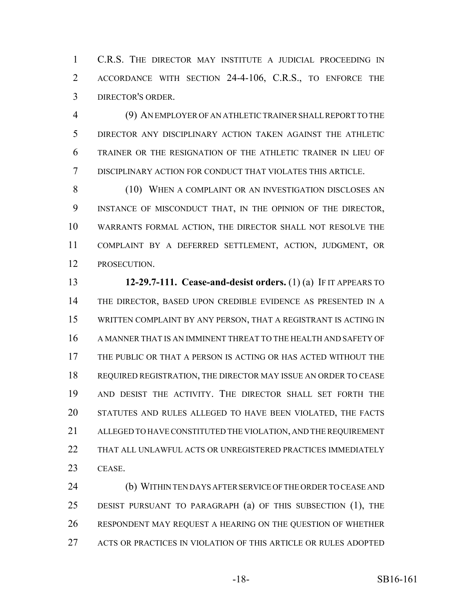C.R.S. THE DIRECTOR MAY INSTITUTE A JUDICIAL PROCEEDING IN ACCORDANCE WITH SECTION 24-4-106, C.R.S., TO ENFORCE THE DIRECTOR'S ORDER.

 (9) AN EMPLOYER OF AN ATHLETIC TRAINER SHALL REPORT TO THE DIRECTOR ANY DISCIPLINARY ACTION TAKEN AGAINST THE ATHLETIC TRAINER OR THE RESIGNATION OF THE ATHLETIC TRAINER IN LIEU OF DISCIPLINARY ACTION FOR CONDUCT THAT VIOLATES THIS ARTICLE.

8 (10) WHEN A COMPLAINT OR AN INVESTIGATION DISCLOSES AN INSTANCE OF MISCONDUCT THAT, IN THE OPINION OF THE DIRECTOR, WARRANTS FORMAL ACTION, THE DIRECTOR SHALL NOT RESOLVE THE COMPLAINT BY A DEFERRED SETTLEMENT, ACTION, JUDGMENT, OR PROSECUTION.

 **12-29.7-111. Cease-and-desist orders.** (1) (a) IF IT APPEARS TO THE DIRECTOR, BASED UPON CREDIBLE EVIDENCE AS PRESENTED IN A WRITTEN COMPLAINT BY ANY PERSON, THAT A REGISTRANT IS ACTING IN A MANNER THAT IS AN IMMINENT THREAT TO THE HEALTH AND SAFETY OF THE PUBLIC OR THAT A PERSON IS ACTING OR HAS ACTED WITHOUT THE REQUIRED REGISTRATION, THE DIRECTOR MAY ISSUE AN ORDER TO CEASE AND DESIST THE ACTIVITY. THE DIRECTOR SHALL SET FORTH THE STATUTES AND RULES ALLEGED TO HAVE BEEN VIOLATED, THE FACTS ALLEGED TO HAVE CONSTITUTED THE VIOLATION, AND THE REQUIREMENT THAT ALL UNLAWFUL ACTS OR UNREGISTERED PRACTICES IMMEDIATELY CEASE.

 (b) WITHIN TEN DAYS AFTER SERVICE OF THE ORDER TO CEASE AND DESIST PURSUANT TO PARAGRAPH (a) OF THIS SUBSECTION (1), THE RESPONDENT MAY REQUEST A HEARING ON THE QUESTION OF WHETHER ACTS OR PRACTICES IN VIOLATION OF THIS ARTICLE OR RULES ADOPTED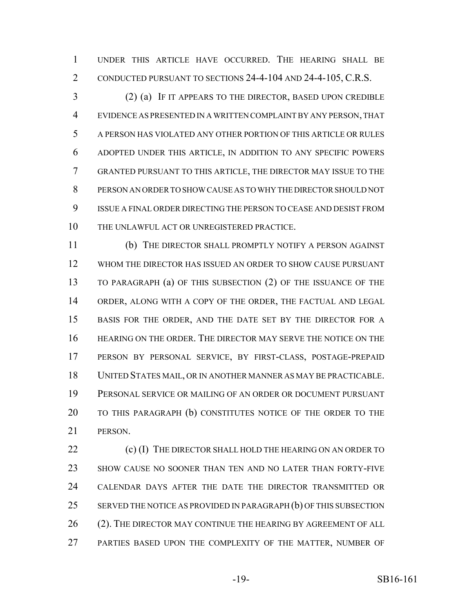UNDER THIS ARTICLE HAVE OCCURRED. THE HEARING SHALL BE CONDUCTED PURSUANT TO SECTIONS 24-4-104 AND 24-4-105, C.R.S.

 (2) (a) IF IT APPEARS TO THE DIRECTOR, BASED UPON CREDIBLE EVIDENCE AS PRESENTED IN A WRITTEN COMPLAINT BY ANY PERSON, THAT A PERSON HAS VIOLATED ANY OTHER PORTION OF THIS ARTICLE OR RULES ADOPTED UNDER THIS ARTICLE, IN ADDITION TO ANY SPECIFIC POWERS GRANTED PURSUANT TO THIS ARTICLE, THE DIRECTOR MAY ISSUE TO THE PERSON AN ORDER TO SHOW CAUSE AS TO WHY THE DIRECTOR SHOULD NOT ISSUE A FINAL ORDER DIRECTING THE PERSON TO CEASE AND DESIST FROM THE UNLAWFUL ACT OR UNREGISTERED PRACTICE.

 (b) THE DIRECTOR SHALL PROMPTLY NOTIFY A PERSON AGAINST WHOM THE DIRECTOR HAS ISSUED AN ORDER TO SHOW CAUSE PURSUANT TO PARAGRAPH (a) OF THIS SUBSECTION (2) OF THE ISSUANCE OF THE ORDER, ALONG WITH A COPY OF THE ORDER, THE FACTUAL AND LEGAL BASIS FOR THE ORDER, AND THE DATE SET BY THE DIRECTOR FOR A HEARING ON THE ORDER. THE DIRECTOR MAY SERVE THE NOTICE ON THE PERSON BY PERSONAL SERVICE, BY FIRST-CLASS, POSTAGE-PREPAID UNITED STATES MAIL, OR IN ANOTHER MANNER AS MAY BE PRACTICABLE. PERSONAL SERVICE OR MAILING OF AN ORDER OR DOCUMENT PURSUANT TO THIS PARAGRAPH (b) CONSTITUTES NOTICE OF THE ORDER TO THE PERSON.

22 (c) (I) THE DIRECTOR SHALL HOLD THE HEARING ON AN ORDER TO SHOW CAUSE NO SOONER THAN TEN AND NO LATER THAN FORTY-FIVE CALENDAR DAYS AFTER THE DATE THE DIRECTOR TRANSMITTED OR 25 SERVED THE NOTICE AS PROVIDED IN PARAGRAPH (b) OF THIS SUBSECTION 26 (2). THE DIRECTOR MAY CONTINUE THE HEARING BY AGREEMENT OF ALL 27 PARTIES BASED UPON THE COMPLEXITY OF THE MATTER, NUMBER OF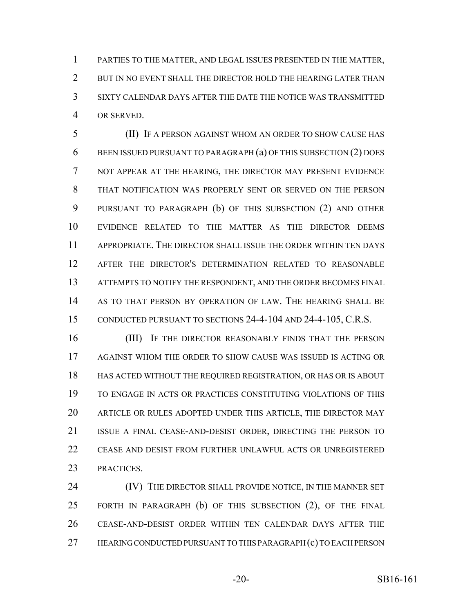PARTIES TO THE MATTER, AND LEGAL ISSUES PRESENTED IN THE MATTER, 2 BUT IN NO EVENT SHALL THE DIRECTOR HOLD THE HEARING LATER THAN SIXTY CALENDAR DAYS AFTER THE DATE THE NOTICE WAS TRANSMITTED OR SERVED.

 (II) IF A PERSON AGAINST WHOM AN ORDER TO SHOW CAUSE HAS BEEN ISSUED PURSUANT TO PARAGRAPH (a) OF THIS SUBSECTION (2) DOES NOT APPEAR AT THE HEARING, THE DIRECTOR MAY PRESENT EVIDENCE THAT NOTIFICATION WAS PROPERLY SENT OR SERVED ON THE PERSON PURSUANT TO PARAGRAPH (b) OF THIS SUBSECTION (2) AND OTHER EVIDENCE RELATED TO THE MATTER AS THE DIRECTOR DEEMS APPROPRIATE. THE DIRECTOR SHALL ISSUE THE ORDER WITHIN TEN DAYS AFTER THE DIRECTOR'S DETERMINATION RELATED TO REASONABLE ATTEMPTS TO NOTIFY THE RESPONDENT, AND THE ORDER BECOMES FINAL AS TO THAT PERSON BY OPERATION OF LAW. THE HEARING SHALL BE CONDUCTED PURSUANT TO SECTIONS 24-4-104 AND 24-4-105, C.R.S.

16 (III) IF THE DIRECTOR REASONABLY FINDS THAT THE PERSON AGAINST WHOM THE ORDER TO SHOW CAUSE WAS ISSUED IS ACTING OR HAS ACTED WITHOUT THE REQUIRED REGISTRATION, OR HAS OR IS ABOUT TO ENGAGE IN ACTS OR PRACTICES CONSTITUTING VIOLATIONS OF THIS ARTICLE OR RULES ADOPTED UNDER THIS ARTICLE, THE DIRECTOR MAY ISSUE A FINAL CEASE-AND-DESIST ORDER, DIRECTING THE PERSON TO CEASE AND DESIST FROM FURTHER UNLAWFUL ACTS OR UNREGISTERED PRACTICES.

24 (IV) THE DIRECTOR SHALL PROVIDE NOTICE, IN THE MANNER SET FORTH IN PARAGRAPH (b) OF THIS SUBSECTION (2), OF THE FINAL CEASE-AND-DESIST ORDER WITHIN TEN CALENDAR DAYS AFTER THE HEARING CONDUCTED PURSUANT TO THIS PARAGRAPH (c) TO EACH PERSON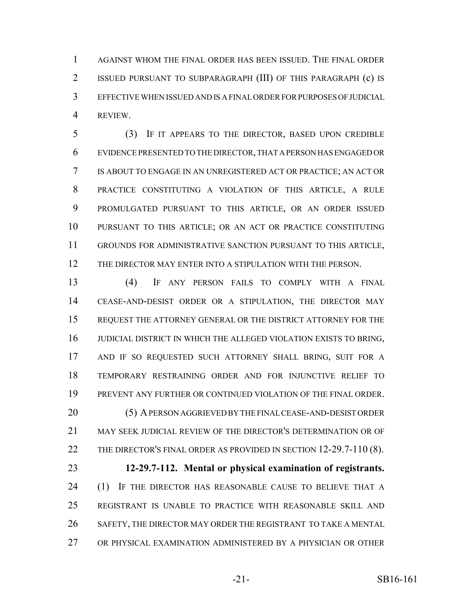AGAINST WHOM THE FINAL ORDER HAS BEEN ISSUED. THE FINAL ORDER ISSUED PURSUANT TO SUBPARAGRAPH (III) OF THIS PARAGRAPH (c) IS EFFECTIVE WHEN ISSUED AND IS A FINAL ORDER FOR PURPOSES OF JUDICIAL REVIEW.

 (3) IF IT APPEARS TO THE DIRECTOR, BASED UPON CREDIBLE EVIDENCE PRESENTED TO THE DIRECTOR, THAT A PERSON HAS ENGAGED OR IS ABOUT TO ENGAGE IN AN UNREGISTERED ACT OR PRACTICE; AN ACT OR PRACTICE CONSTITUTING A VIOLATION OF THIS ARTICLE, A RULE PROMULGATED PURSUANT TO THIS ARTICLE, OR AN ORDER ISSUED PURSUANT TO THIS ARTICLE; OR AN ACT OR PRACTICE CONSTITUTING GROUNDS FOR ADMINISTRATIVE SANCTION PURSUANT TO THIS ARTICLE, THE DIRECTOR MAY ENTER INTO A STIPULATION WITH THE PERSON.

 (4) IF ANY PERSON FAILS TO COMPLY WITH A FINAL CEASE-AND-DESIST ORDER OR A STIPULATION, THE DIRECTOR MAY REQUEST THE ATTORNEY GENERAL OR THE DISTRICT ATTORNEY FOR THE JUDICIAL DISTRICT IN WHICH THE ALLEGED VIOLATION EXISTS TO BRING, AND IF SO REQUESTED SUCH ATTORNEY SHALL BRING, SUIT FOR A TEMPORARY RESTRAINING ORDER AND FOR INJUNCTIVE RELIEF TO PREVENT ANY FURTHER OR CONTINUED VIOLATION OF THE FINAL ORDER. (5) A PERSON AGGRIEVED BY THE FINAL CEASE-AND-DESIST ORDER MAY SEEK JUDICIAL REVIEW OF THE DIRECTOR'S DETERMINATION OR OF 22 THE DIRECTOR'S FINAL ORDER AS PROVIDED IN SECTION 12-29.7-110 (8). **12-29.7-112. Mental or physical examination of registrants.** 24 (1) IF THE DIRECTOR HAS REASONABLE CAUSE TO BELIEVE THAT A REGISTRANT IS UNABLE TO PRACTICE WITH REASONABLE SKILL AND SAFETY, THE DIRECTOR MAY ORDER THE REGISTRANT TO TAKE A MENTAL

OR PHYSICAL EXAMINATION ADMINISTERED BY A PHYSICIAN OR OTHER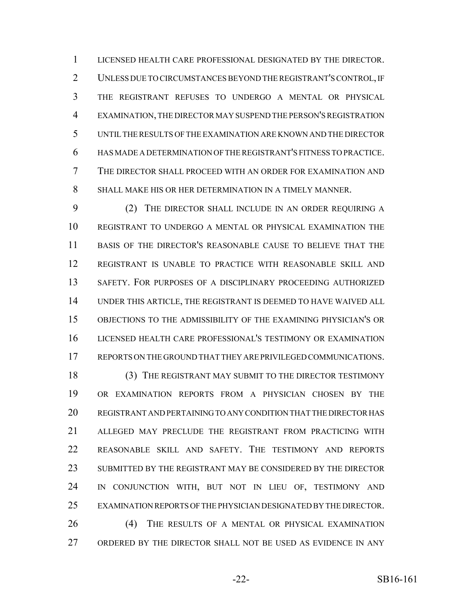LICENSED HEALTH CARE PROFESSIONAL DESIGNATED BY THE DIRECTOR. UNLESS DUE TO CIRCUMSTANCES BEYOND THE REGISTRANT'S CONTROL, IF THE REGISTRANT REFUSES TO UNDERGO A MENTAL OR PHYSICAL EXAMINATION, THE DIRECTOR MAY SUSPEND THE PERSON'S REGISTRATION UNTIL THE RESULTS OF THE EXAMINATION ARE KNOWN AND THE DIRECTOR HAS MADE A DETERMINATION OF THE REGISTRANT'S FITNESS TO PRACTICE. THE DIRECTOR SHALL PROCEED WITH AN ORDER FOR EXAMINATION AND SHALL MAKE HIS OR HER DETERMINATION IN A TIMELY MANNER.

 (2) THE DIRECTOR SHALL INCLUDE IN AN ORDER REQUIRING A REGISTRANT TO UNDERGO A MENTAL OR PHYSICAL EXAMINATION THE BASIS OF THE DIRECTOR'S REASONABLE CAUSE TO BELIEVE THAT THE REGISTRANT IS UNABLE TO PRACTICE WITH REASONABLE SKILL AND SAFETY. FOR PURPOSES OF A DISCIPLINARY PROCEEDING AUTHORIZED UNDER THIS ARTICLE, THE REGISTRANT IS DEEMED TO HAVE WAIVED ALL OBJECTIONS TO THE ADMISSIBILITY OF THE EXAMINING PHYSICIAN'S OR LICENSED HEALTH CARE PROFESSIONAL'S TESTIMONY OR EXAMINATION REPORTS ON THE GROUND THAT THEY ARE PRIVILEGED COMMUNICATIONS.

 (3) THE REGISTRANT MAY SUBMIT TO THE DIRECTOR TESTIMONY OR EXAMINATION REPORTS FROM A PHYSICIAN CHOSEN BY THE REGISTRANT AND PERTAINING TO ANY CONDITION THAT THE DIRECTOR HAS ALLEGED MAY PRECLUDE THE REGISTRANT FROM PRACTICING WITH REASONABLE SKILL AND SAFETY. THE TESTIMONY AND REPORTS SUBMITTED BY THE REGISTRANT MAY BE CONSIDERED BY THE DIRECTOR IN CONJUNCTION WITH, BUT NOT IN LIEU OF, TESTIMONY AND EXAMINATION REPORTS OF THE PHYSICIAN DESIGNATED BY THE DIRECTOR. (4) THE RESULTS OF A MENTAL OR PHYSICAL EXAMINATION ORDERED BY THE DIRECTOR SHALL NOT BE USED AS EVIDENCE IN ANY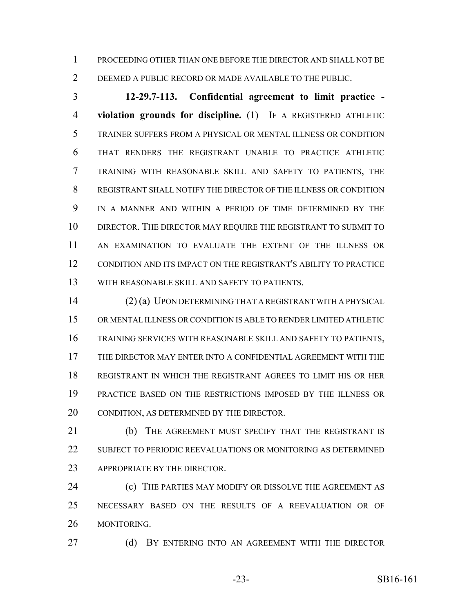PROCEEDING OTHER THAN ONE BEFORE THE DIRECTOR AND SHALL NOT BE DEEMED A PUBLIC RECORD OR MADE AVAILABLE TO THE PUBLIC.

 **12-29.7-113. Confidential agreement to limit practice - violation grounds for discipline.** (1) IF A REGISTERED ATHLETIC TRAINER SUFFERS FROM A PHYSICAL OR MENTAL ILLNESS OR CONDITION THAT RENDERS THE REGISTRANT UNABLE TO PRACTICE ATHLETIC TRAINING WITH REASONABLE SKILL AND SAFETY TO PATIENTS, THE REGISTRANT SHALL NOTIFY THE DIRECTOR OF THE ILLNESS OR CONDITION IN A MANNER AND WITHIN A PERIOD OF TIME DETERMINED BY THE DIRECTOR. THE DIRECTOR MAY REQUIRE THE REGISTRANT TO SUBMIT TO AN EXAMINATION TO EVALUATE THE EXTENT OF THE ILLNESS OR CONDITION AND ITS IMPACT ON THE REGISTRANT'S ABILITY TO PRACTICE WITH REASONABLE SKILL AND SAFETY TO PATIENTS.

 (2) (a) UPON DETERMINING THAT A REGISTRANT WITH A PHYSICAL OR MENTAL ILLNESS OR CONDITION IS ABLE TO RENDER LIMITED ATHLETIC TRAINING SERVICES WITH REASONABLE SKILL AND SAFETY TO PATIENTS, THE DIRECTOR MAY ENTER INTO A CONFIDENTIAL AGREEMENT WITH THE REGISTRANT IN WHICH THE REGISTRANT AGREES TO LIMIT HIS OR HER PRACTICE BASED ON THE RESTRICTIONS IMPOSED BY THE ILLNESS OR CONDITION, AS DETERMINED BY THE DIRECTOR.

21 (b) THE AGREEMENT MUST SPECIFY THAT THE REGISTRANT IS SUBJECT TO PERIODIC REEVALUATIONS OR MONITORING AS DETERMINED 23 APPROPRIATE BY THE DIRECTOR.

**(c)** THE PARTIES MAY MODIFY OR DISSOLVE THE AGREEMENT AS NECESSARY BASED ON THE RESULTS OF A REEVALUATION OR OF MONITORING.

27 (d) BY ENTERING INTO AN AGREEMENT WITH THE DIRECTOR

-23- SB16-161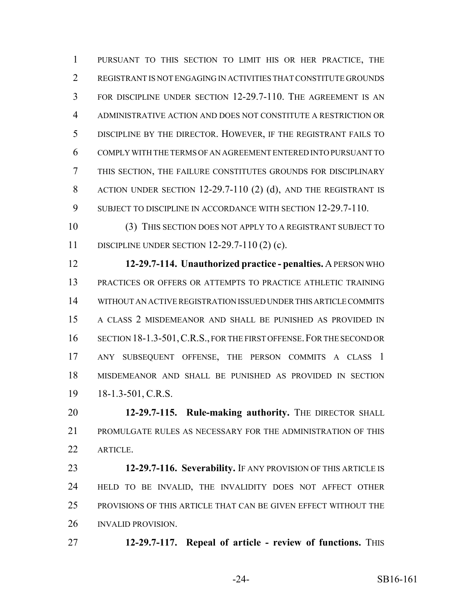PURSUANT TO THIS SECTION TO LIMIT HIS OR HER PRACTICE, THE REGISTRANT IS NOT ENGAGING IN ACTIVITIES THAT CONSTITUTE GROUNDS FOR DISCIPLINE UNDER SECTION 12-29.7-110. THE AGREEMENT IS AN ADMINISTRATIVE ACTION AND DOES NOT CONSTITUTE A RESTRICTION OR DISCIPLINE BY THE DIRECTOR. HOWEVER, IF THE REGISTRANT FAILS TO COMPLY WITH THE TERMS OF AN AGREEMENT ENTERED INTO PURSUANT TO THIS SECTION, THE FAILURE CONSTITUTES GROUNDS FOR DISCIPLINARY ACTION UNDER SECTION 12-29.7-110 (2) (d), AND THE REGISTRANT IS 9 SUBJECT TO DISCIPLINE IN ACCORDANCE WITH SECTION 12-29.7-110.

 (3) THIS SECTION DOES NOT APPLY TO A REGISTRANT SUBJECT TO DISCIPLINE UNDER SECTION 12-29.7-110 (2) (c).

 **12-29.7-114. Unauthorized practice - penalties.** A PERSON WHO PRACTICES OR OFFERS OR ATTEMPTS TO PRACTICE ATHLETIC TRAINING WITHOUT AN ACTIVE REGISTRATION ISSUED UNDER THIS ARTICLE COMMITS A CLASS 2 MISDEMEANOR AND SHALL BE PUNISHED AS PROVIDED IN 16 SECTION 18-1.3-501, C.R.S., FOR THE FIRST OFFENSE. FOR THE SECOND OR ANY SUBSEQUENT OFFENSE, THE PERSON COMMITS A CLASS 1 MISDEMEANOR AND SHALL BE PUNISHED AS PROVIDED IN SECTION 18-1.3-501, C.R.S.

 **12-29.7-115. Rule-making authority.** THE DIRECTOR SHALL PROMULGATE RULES AS NECESSARY FOR THE ADMINISTRATION OF THIS ARTICLE.

 **12-29.7-116. Severability.** IF ANY PROVISION OF THIS ARTICLE IS HELD TO BE INVALID, THE INVALIDITY DOES NOT AFFECT OTHER PROVISIONS OF THIS ARTICLE THAT CAN BE GIVEN EFFECT WITHOUT THE INVALID PROVISION.

**12-29.7-117. Repeal of article - review of functions.** THIS